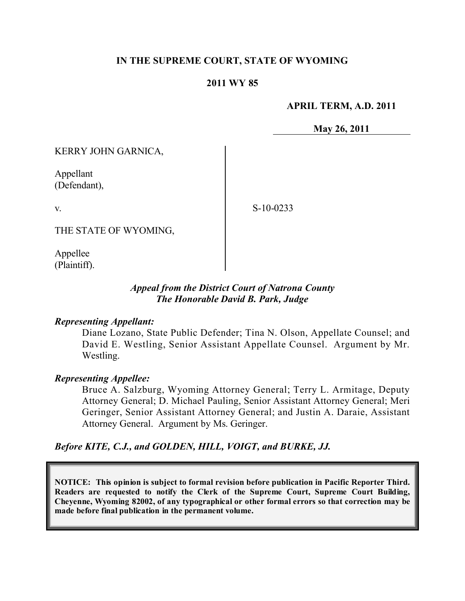### **IN THE SUPREME COURT, STATE OF WYOMING**

### **2011 WY 85**

#### **APRIL TERM, A.D. 2011**

**May 26, 2011**

KERRY JOHN GARNICA,

Appellant (Defendant),

v.

S-10-0233

THE STATE OF WYOMING,

Appellee (Plaintiff).

### *Appeal from the District Court of Natrona County The Honorable David B. Park, Judge*

#### *Representing Appellant:*

Diane Lozano, State Public Defender; Tina N. Olson, Appellate Counsel; and David E. Westling, Senior Assistant Appellate Counsel. Argument by Mr. Westling.

#### *Representing Appellee:*

Bruce A. Salzburg, Wyoming Attorney General; Terry L. Armitage, Deputy Attorney General; D. Michael Pauling, Senior Assistant Attorney General; Meri Geringer, Senior Assistant Attorney General; and Justin A. Daraie, Assistant Attorney General. Argument by Ms. Geringer.

*Before KITE, C.J., and GOLDEN, HILL, VOIGT, and BURKE, JJ.*

**NOTICE: This opinion is subject to formal revision before publication in Pacific Reporter Third. Readers are requested to notify the Clerk of the Supreme Court, Supreme Court Building, Cheyenne, Wyoming 82002, of any typographical or other formal errors so that correction may be made before final publication in the permanent volume.**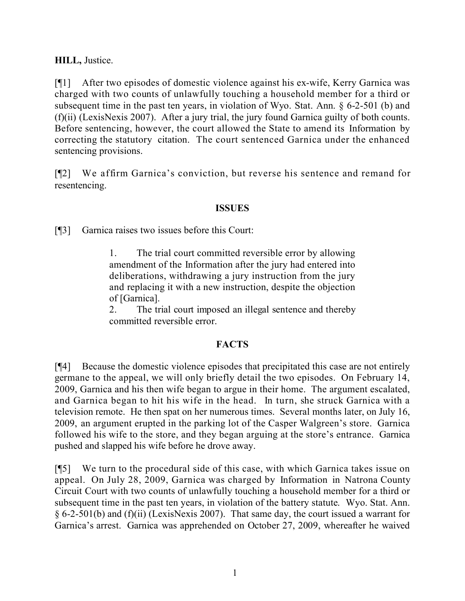**HILL,** Justice.

[¶1] After two episodes of domestic violence against his ex-wife, Kerry Garnica was charged with two counts of unlawfully touching a household member for a third or subsequent time in the past ten years, in violation of Wyo. Stat. Ann. § 6-2-501 (b) and (f)(ii) (LexisNexis 2007). After a jury trial, the jury found Garnica guilty of both counts. Before sentencing, however, the court allowed the State to amend its Information by correcting the statutory citation. The court sentenced Garnica under the enhanced sentencing provisions.

[¶2] We affirm Garnica's conviction, but reverse his sentence and remand for resentencing.

# **ISSUES**

[¶3] Garnica raises two issues before this Court:

1. The trial court committed reversible error by allowing amendment of the Information after the jury had entered into deliberations, withdrawing a jury instruction from the jury and replacing it with a new instruction, despite the objection of [Garnica].

2. The trial court imposed an illegal sentence and thereby committed reversible error.

# **FACTS**

[¶4] Because the domestic violence episodes that precipitated this case are not entirely germane to the appeal, we will only briefly detail the two episodes. On February 14, 2009, Garnica and his then wife began to argue in their home. The argument escalated, and Garnica began to hit his wife in the head. In turn, she struck Garnica with a television remote. He then spat on her numerous times. Several months later, on July 16, 2009, an argument erupted in the parking lot of the Casper Walgreen's store. Garnica followed his wife to the store, and they began arguing at the store's entrance. Garnica pushed and slapped his wife before he drove away.

[¶5] We turn to the procedural side of this case, with which Garnica takes issue on appeal. On July 28, 2009, Garnica was charged by Information in Natrona County Circuit Court with two counts of unlawfully touching a household member for a third or subsequent time in the past ten years, in violation of the battery statute. Wyo. Stat. Ann. § 6-2-501(b) and (f)(ii) (LexisNexis 2007). That same day, the court issued a warrant for Garnica's arrest. Garnica was apprehended on October 27, 2009, whereafter he waived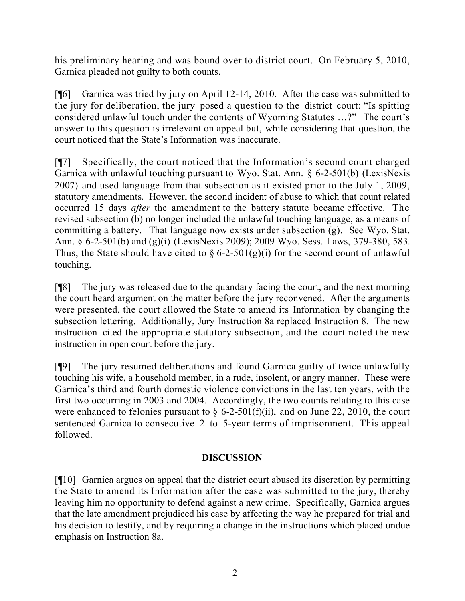his preliminary hearing and was bound over to district court. On February 5, 2010, Garnica pleaded not guilty to both counts.

[¶6] Garnica was tried by jury on April 12-14, 2010. After the case was submitted to the jury for deliberation, the jury posed a question to the district court: "Is spitting considered unlawful touch under the contents of Wyoming Statutes …?" The court's answer to this question is irrelevant on appeal but, while considering that question, the court noticed that the State's Information was inaccurate.

[¶7] Specifically, the court noticed that the Information's second count charged Garnica with unlawful touching pursuant to Wyo. Stat. Ann. § 6-2-501(b) (LexisNexis 2007) and used language from that subsection as it existed prior to the July 1, 2009, statutory amendments. However, the second incident of abuse to which that count related occurred 15 days *after* the amendment to the battery statute became effective. The revised subsection (b) no longer included the unlawful touching language, as a means of committing a battery. That language now exists under subsection (g). See Wyo. Stat. Ann. § 6-2-501(b) and (g)(i) (LexisNexis 2009); 2009 Wyo. Sess. Laws, 379-380, 583. Thus, the State should have cited to  $\S 6$ -2-501(g)(i) for the second count of unlawful touching.

[¶8] The jury was released due to the quandary facing the court, and the next morning the court heard argument on the matter before the jury reconvened. After the arguments were presented, the court allowed the State to amend its Information by changing the subsection lettering. Additionally, Jury Instruction 8a replaced Instruction 8. The new instruction cited the appropriate statutory subsection, and the court noted the new instruction in open court before the jury.

[¶9] The jury resumed deliberations and found Garnica guilty of twice unlawfully touching his wife, a household member, in a rude, insolent, or angry manner. These were Garnica's third and fourth domestic violence convictions in the last ten years, with the first two occurring in 2003 and 2004. Accordingly, the two counts relating to this case were enhanced to felonies pursuant to  $\S$  6-2-501(f)(ii), and on June 22, 2010, the court sentenced Garnica to consecutive 2 to 5-year terms of imprisonment. This appeal followed.

# **DISCUSSION**

[¶10] Garnica argues on appeal that the district court abused its discretion by permitting the State to amend its Information after the case was submitted to the jury, thereby leaving him no opportunity to defend against a new crime. Specifically, Garnica argues that the late amendment prejudiced his case by affecting the way he prepared for trial and his decision to testify, and by requiring a change in the instructions which placed undue emphasis on Instruction 8a.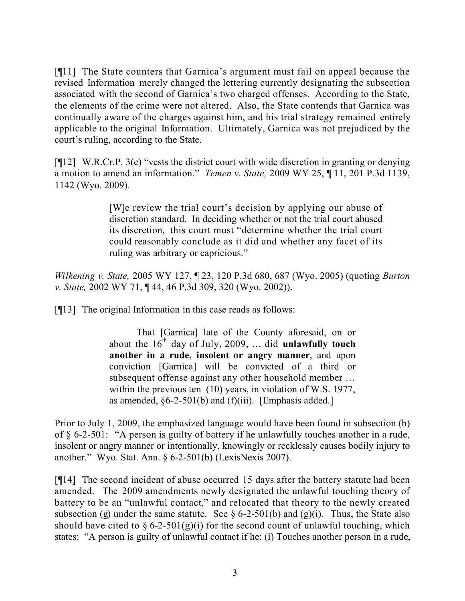[¶11] The State counters that Garnica's argument must fail on appeal because the revised Information merely changed the lettering currently designating the subsection associated with the second of Garnica's two charged offenses. According to the State, the elements of the crime were not altered. Also, the State contends that Garnica was continually aware of the charges against him, and his trial strategy remained entirely applicable to the original Information. Ultimately, Garnica was not prejudiced by the court's ruling, according to the State.

[¶12] W.R.Cr.P. 3(e) "vests the district court with wide discretion in granting or denying a motion to amend an information." *Temen v. State,* 2009 WY 25, ¶ 11, 201 P.3d 1139, 1142 (Wyo. 2009).

> [W]e review the trial court's decision by applying our abuse of discretion standard. In deciding whether or not the trial court abused its discretion, this court must "determine whether the trial court could reasonably conclude as it did and whether any facet of its ruling was arbitrary or capricious."

*Wilkening v. State,* 2005 WY 127, ¶ 23, 120 P.3d 680, 687 (Wyo. 2005) (quoting *Burton v. State,* 2002 WY 71, ¶ 44, 46 P.3d 309, 320 (Wyo. 2002)).

[¶13] The original Information in this case reads as follows:

That [Garnica] late of the County aforesaid, on or about the  $16^{\text{th}}$  day of July, 2009, ... did **unlawfully touch another in a rude, insolent or angry manner**, and upon conviction [Garnica] will be convicted of a third or subsequent offense against any other household member … within the previous ten (10) years, in violation of W.S. 1977, as amended,  $§6-2-501(b)$  and  $(f)(iii)$ . [Emphasis added.]

Prior to July 1, 2009, the emphasized language would have been found in subsection (b) of § 6-2-501: "A person is guilty of battery if he unlawfully touches another in a rude, insolent or angry manner or intentionally, knowingly or recklessly causes bodily injury to another." Wyo. Stat. Ann. § 6-2-501(b) (LexisNexis 2007).

[¶14] The second incident of abuse occurred 15 days after the battery statute had been amended. The 2009 amendments newly designated the unlawful touching theory of battery to be an "unlawful contact," and relocated that theory to the newly created subsection (g) under the same statute. See  $\S 6$ -2-501(b) and (g)(i). Thus, the State also should have cited to  $\S 6$ -2-501(g)(i) for the second count of unlawful touching, which states: "A person is guilty of unlawful contact if he: (i) Touches another person in a rude,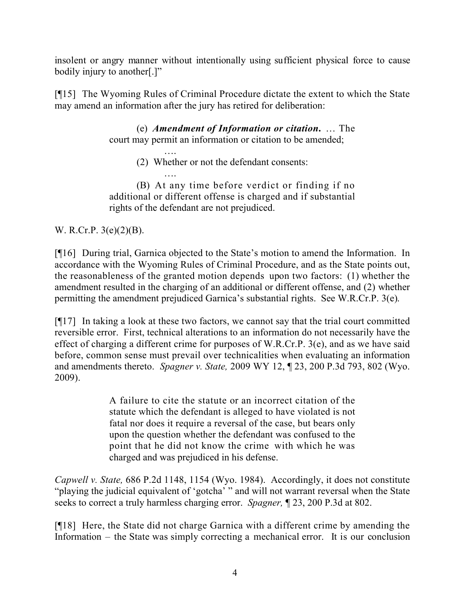insolent or angry manner without intentionally using sufficient physical force to cause bodily injury to another[.]"

[¶15] The Wyoming Rules of Criminal Procedure dictate the extent to which the State may amend an information after the jury has retired for deliberation:

> (e) *Amendment of Information or citation***.** … The court may permit an information or citation to be amended;

> > …. (2) Whether or not the defendant consents:

…. (B) At any time before verdict or finding if no additional or different offense is charged and if substantial rights of the defendant are not prejudiced.

W. R.Cr.P. 3(e)(2)(B).

[¶16] During trial, Garnica objected to the State's motion to amend the Information. In accordance with the Wyoming Rules of Criminal Procedure, and as the State points out, the reasonableness of the granted motion depends upon two factors: (1) whether the amendment resulted in the charging of an additional or different offense, and (2) whether permitting the amendment prejudiced Garnica's substantial rights. See W.R.Cr.P. 3(e).

[¶17] In taking a look at these two factors, we cannot say that the trial court committed reversible error. First, technical alterations to an information do not necessarily have the effect of charging a different crime for purposes of W.R.Cr.P. 3(e), and as we have said before, common sense must prevail over technicalities when evaluating an information and amendments thereto. *Spagner v. State,* 2009 WY 12, ¶ 23, 200 P.3d 793, 802 (Wyo. 2009).

> A failure to cite the statute or an incorrect citation of the statute which the defendant is alleged to have violated is not fatal nor does it require a reversal of the case, but bears only upon the question whether the defendant was confused to the point that he did not know the crime with which he was charged and was prejudiced in his defense.

*Capwell v. State,* 686 P.2d 1148, 1154 (Wyo. 1984). Accordingly, it does not constitute "playing the judicial equivalent of 'gotcha' " and will not warrant reversal when the State seeks to correct a truly harmless charging error. *Spagner,* ¶ 23, 200 P.3d at 802.

[¶18] Here, the State did not charge Garnica with a different crime by amending the Information – the State was simply correcting a mechanical error. It is our conclusion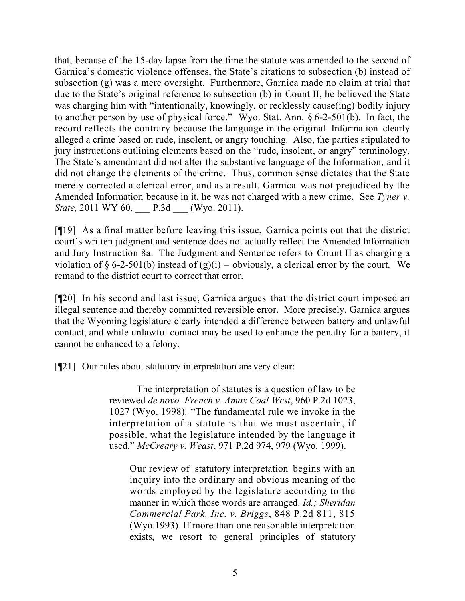that, because of the 15-day lapse from the time the statute was amended to the second of Garnica's domestic violence offenses, the State's citations to subsection (b) instead of subsection (g) was a mere oversight. Furthermore, Garnica made no claim at trial that due to the State's original reference to subsection (b) in Count II, he believed the State was charging him with "intentionally, knowingly, or recklessly cause(ing) bodily injury to another person by use of physical force." Wyo. Stat. Ann. § 6-2-501(b). In fact, the record reflects the contrary because the language in the original Information clearly alleged a crime based on rude, insolent, or angry touching. Also, the parties stipulated to jury instructions outlining elements based on the "rude, insolent, or angry" terminology. The State's amendment did not alter the substantive language of the Information, and it did not change the elements of the crime. Thus, common sense dictates that the State merely corrected a clerical error, and as a result, Garnica was not prejudiced by the Amended Information because in it, he was not charged with a new crime. See *Tyner v. State,* 2011 WY 60, P.3d (Wyo. 2011).

[¶19] As a final matter before leaving this issue, Garnica points out that the district court's written judgment and sentence does not actually reflect the Amended Information and Jury Instruction 8a. The Judgment and Sentence refers to Count II as charging a violation of § 6-2-501(b) instead of  $(g)(i)$  – obviously, a clerical error by the court. We remand to the district court to correct that error.

[¶20] In his second and last issue, Garnica argues that the district court imposed an illegal sentence and thereby committed reversible error. More precisely, Garnica argues that the Wyoming legislature clearly intended a difference between battery and unlawful contact, and while unlawful contact may be used to enhance the penalty for a battery, it cannot be enhanced to a felony.

[¶21] Our rules about statutory interpretation are very clear:

The interpretation of statutes is a question of law to be reviewed *de novo. French v. Amax Coal West*, 960 P.2d 1023, 1027 (Wyo. 1998). "The fundamental rule we invoke in the interpretation of a statute is that we must ascertain, if possible, what the legislature intended by the language it used." *McCreary v. Weast*, 971 P.2d 974, 979 (Wyo. 1999).

Our review of statutory interpretation begins with an inquiry into the ordinary and obvious meaning of the words employed by the legislature according to the manner in which those words are arranged. *Id.; Sheridan Commercial Park, Inc. v. Briggs*, 848 P.2d 811, 815 (Wyo.1993). If more than one reasonable interpretation exists, we resort to general principles of statutory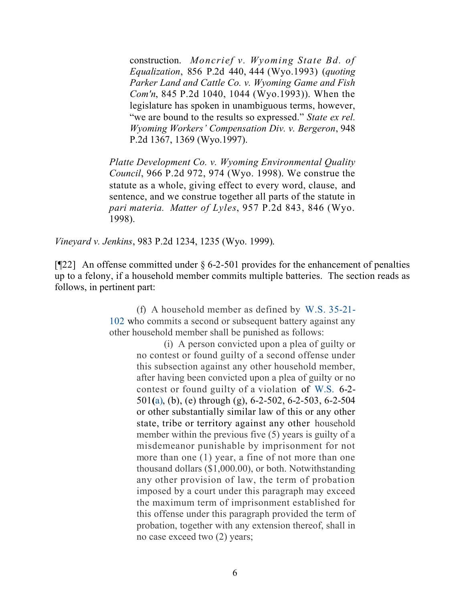construction. *Moncrief v. Wyoming State Bd. of Equalization*, 856 P.2d 440, 444 (Wyo.1993) (*quoting Parker Land and Cattle Co. v. Wyoming Game and Fish Com'n*, 845 P.2d 1040, 1044 (Wyo.1993)). When the legislature has spoken in unambiguous terms, however, "we are bound to the results so expressed." *State ex rel. Wyoming Workers' Compensation Div. v. Bergeron*, 948 P.2d 1367, 1369 (Wyo.1997).

*Platte Development Co. v. Wyoming Environmental Quality Council*, 966 P.2d 972, 974 (Wyo. 1998). We construe the statute as a whole, giving effect to every word, clause, and sentence, and we construe together all parts of the statute in *pari materia. Matter of Lyles*, 957 P.2d 843, 846 (Wyo. 1998).

*Vineyard v. Jenkins*, 983 P.2d 1234, 1235 (Wyo. 1999).

[¶22] An offense committed under § 6-2-501 provides for the enhancement of penalties up to a felony, if a household member commits multiple batteries. The section reads as follows, in pertinent part:

> (f) A household member as defined by W.S. 35-21- 102 who commits a second or subsequent battery against any other household member shall be punished as follows:

> > (i) A person convicted upon a plea of guilty or no contest or found guilty of a second offense under this subsection against any other household member, after having been convicted upon a plea of guilty or no contest or found guilty of a violation of W.S. 6-2- 501**(**a), (b), (e) through (g), 6-2-502, 6-2-503, 6-2-504 or other substantially similar law of this or any other state, tribe or territory against any other household member within the previous five (5) years is guilty of a misdemeanor punishable by imprisonment for not more than one (1) year, a fine of not more than one thousand dollars (\$1,000.00), or both. Notwithstanding any other provision of law, the term of probation imposed by a court under this paragraph may exceed the maximum term of imprisonment established for this offense under this paragraph provided the term of probation, together with any extension thereof, shall in no case exceed two (2) years;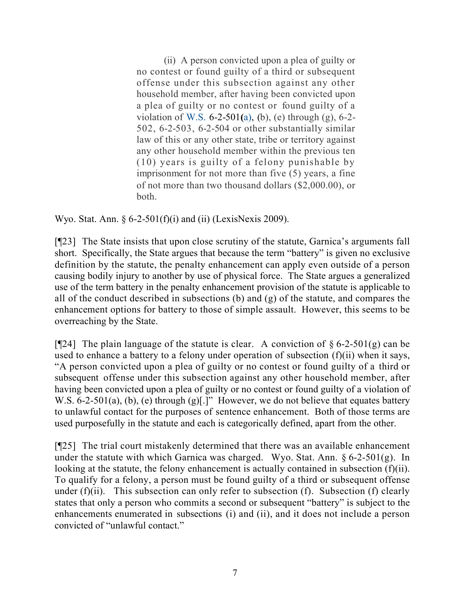(ii) A person convicted upon a plea of guilty or no contest or found guilty of a third or subsequent offense under this subsection against any other household member, after having been convicted upon a plea of guilty or no contest or found guilty of a violation of W.S. 6-2-501**(**a), (b), (e) through (g), 6-2- 502, 6-2-503, 6-2-504 or other substantially similar law of this or any other state, tribe or territory against any other household member within the previous ten (10) years is guilty of a felony punishable by imprisonment for not more than five (5) years, a fine of not more than two thousand dollars (\$2,000.00), or both.

Wyo. Stat. Ann.  $\S 6$ -2-501(f)(i) and (ii) (LexisNexis 2009).

[¶23] The State insists that upon close scrutiny of the statute, Garnica's arguments fall short. Specifically, the State argues that because the term "battery" is given no exclusive definition by the statute, the penalty enhancement can apply even outside of a person causing bodily injury to another by use of physical force. The State argues a generalized use of the term battery in the penalty enhancement provision of the statute is applicable to all of the conduct described in subsections (b) and (g) of the statute, and compares the enhancement options for battery to those of simple assault. However, this seems to be overreaching by the State.

[ $[$ 24] The plain language of the statute is clear. A conviction of  $\S 6$ -2-501(g) can be used to enhance a battery to a felony under operation of subsection (f)(ii) when it says, "A person convicted upon a plea of guilty or no contest or found guilty of a third or subsequent offense under this subsection against any other household member, after having been convicted upon a plea of guilty or no contest or found guilty of a violation of W.S. 6-2-501(a), (b), (e) through (g)[.]" However, we do not believe that equates battery to unlawful contact for the purposes of sentence enhancement. Both of those terms are used purposefully in the statute and each is categorically defined, apart from the other.

[¶25] The trial court mistakenly determined that there was an available enhancement under the statute with which Garnica was charged. Wyo. Stat. Ann.  $\S 6$ -2-501(g). In looking at the statute, the felony enhancement is actually contained in subsection (f)(ii). To qualify for a felony, a person must be found guilty of a third or subsequent offense under  $(f)(ii)$ . This subsection can only refer to subsection  $(f)$ . Subsection  $(f)$  clearly states that only a person who commits a second or subsequent "battery" is subject to the enhancements enumerated in subsections (i) and (ii), and it does not include a person convicted of "unlawful contact."